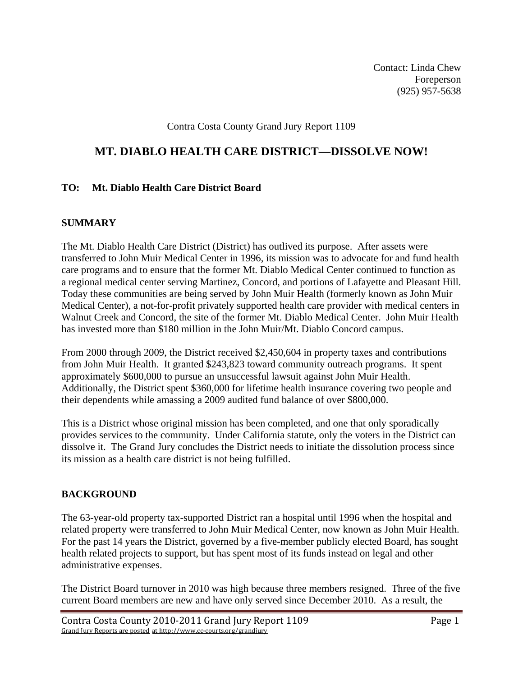Contact: Linda Chew Foreperson (925) 957-5638

### Contra Costa County Grand Jury Report 1109

## **MT. DIABLO HEALTH CARE DISTRICT—DISSOLVE NOW!**

#### **TO: Mt. Diablo Health Care District Board**

#### **SUMMARY**

The Mt. Diablo Health Care District (District) has outlived its purpose. After assets were transferred to John Muir Medical Center in 1996, its mission was to advocate for and fund health care programs and to ensure that the former Mt. Diablo Medical Center continued to function as a regional medical center serving Martinez, Concord, and portions of Lafayette and Pleasant Hill. Today these communities are being served by John Muir Health (formerly known as John Muir Medical Center), a not-for-profit privately supported health care provider with medical centers in Walnut Creek and Concord, the site of the former Mt. Diablo Medical Center. John Muir Health has invested more than \$180 million in the John Muir/Mt. Diablo Concord campus.

From 2000 through 2009, the District received \$2,450,604 in property taxes and contributions from John Muir Health. It granted \$243,823 toward community outreach programs. It spent approximately \$600,000 to pursue an unsuccessful lawsuit against John Muir Health. Additionally, the District spent \$360,000 for lifetime health insurance covering two people and their dependents while amassing a 2009 audited fund balance of over \$800,000.

This is a District whose original mission has been completed, and one that only sporadically provides services to the community. Under California statute, only the voters in the District can dissolve it. The Grand Jury concludes the District needs to initiate the dissolution process since its mission as a health care district is not being fulfilled.

#### **BACKGROUND**

The 63-year-old property tax-supported District ran a hospital until 1996 when the hospital and related property were transferred to John Muir Medical Center, now known as John Muir Health. For the past 14 years the District, governed by a five-member publicly elected Board, has sought health related projects to support, but has spent most of its funds instead on legal and other administrative expenses.

The District Board turnover in 2010 was high because three members resigned. Three of the five current Board members are new and have only served since December 2010. As a result, the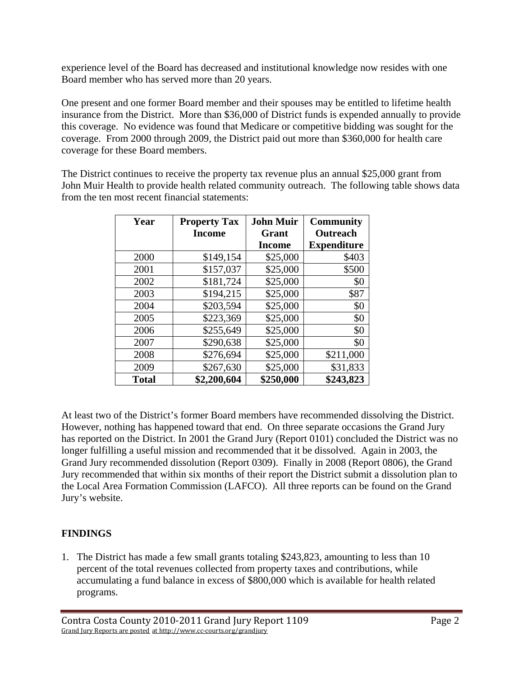experience level of the Board has decreased and institutional knowledge now resides with one Board member who has served more than 20 years.

One present and one former Board member and their spouses may be entitled to lifetime health insurance from the District. More than \$36,000 of District funds is expended annually to provide this coverage. No evidence was found that Medicare or competitive bidding was sought for the coverage. From 2000 through 2009, the District paid out more than \$360,000 for health care coverage for these Board members.

The District continues to receive the property tax revenue plus an annual \$25,000 grant from John Muir Health to provide health related community outreach. The following table shows data from the ten most recent financial statements:

| Year         | <b>Property Tax</b> | <b>John Muir</b> | <b>Community</b>   |
|--------------|---------------------|------------------|--------------------|
|              | <b>Income</b>       | Grant            | <b>Outreach</b>    |
|              |                     | <b>Income</b>    | <b>Expenditure</b> |
| 2000         | \$149,154           | \$25,000         | \$403              |
| 2001         | \$157,037           | \$25,000         | \$500              |
| 2002         | \$181,724           | \$25,000         | \$0                |
| 2003         | \$194,215           | \$25,000         | \$87               |
| 2004         | \$203,594           | \$25,000         | \$0                |
| 2005         | \$223,369           | \$25,000         | \$0                |
| 2006         | \$255,649           | \$25,000         | \$0                |
| 2007         | \$290,638           | \$25,000         | \$0                |
| 2008         | \$276,694           | \$25,000         | \$211,000          |
| 2009         | \$267,630           | \$25,000         | \$31,833           |
| <b>Total</b> | \$2,200,604         | \$250,000        | \$243,823          |

At least two of the District's former Board members have recommended dissolving the District. However, nothing has happened toward that end. On three separate occasions the Grand Jury has reported on the District. In 2001 the Grand Jury (Report 0101) concluded the District was no longer fulfilling a useful mission and recommended that it be dissolved. Again in 2003, the Grand Jury recommended dissolution (Report 0309). Finally in 2008 (Report 0806), the Grand Jury recommended that within six months of their report the District submit a dissolution plan to the Local Area Formation Commission (LAFCO). All three reports can be found on the Grand Jury's website.

# **FINDINGS**

1. The District has made a few small grants totaling \$243,823, amounting to less than 10 percent of the total revenues collected from property taxes and contributions, while accumulating a fund balance in excess of \$800,000 which is available for health related programs.